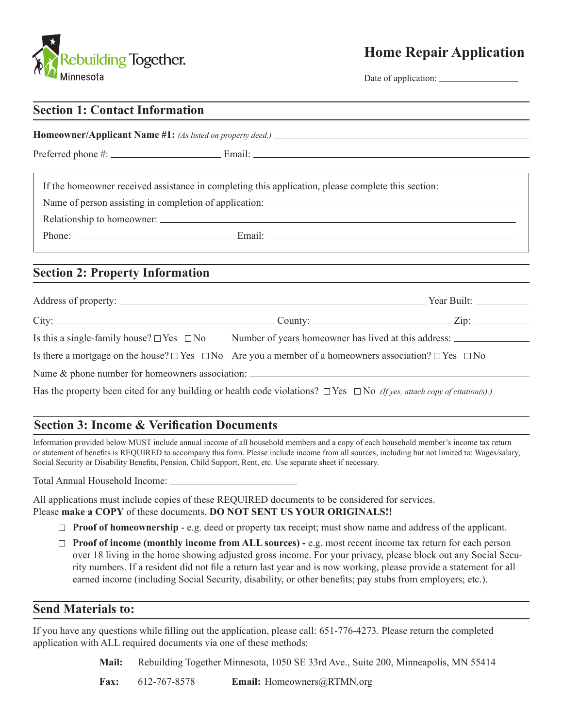

# **Home Repair Application**

Date of application:  $\_\_$ 

| <b>Section 1: Contact Information</b>                                                                                              |                                                                                                          |  |  |  |  |  |
|------------------------------------------------------------------------------------------------------------------------------------|----------------------------------------------------------------------------------------------------------|--|--|--|--|--|
|                                                                                                                                    |                                                                                                          |  |  |  |  |  |
| If the homeowner received assistance in completing this application, please complete this section:                                 |                                                                                                          |  |  |  |  |  |
| Name of person assisting in completion of application:                                                                             |                                                                                                          |  |  |  |  |  |
|                                                                                                                                    |                                                                                                          |  |  |  |  |  |
|                                                                                                                                    |                                                                                                          |  |  |  |  |  |
| <b>Section 2: Property Information</b>                                                                                             |                                                                                                          |  |  |  |  |  |
|                                                                                                                                    |                                                                                                          |  |  |  |  |  |
| $City:$ $Zip:$                                                                                                                     |                                                                                                          |  |  |  |  |  |
|                                                                                                                                    | Is this a single-family house? $\Box$ Yes $\Box$ No Number of years homeowner has lived at this address: |  |  |  |  |  |
| Is there a mortgage on the house? $\Box$ Yes $\Box$ No Are you a member of a homeowners association? $\Box$ Yes $\Box$ No          |                                                                                                          |  |  |  |  |  |
|                                                                                                                                    |                                                                                                          |  |  |  |  |  |
| Has the property been cited for any building or health code violations? $\Box$ Yes $\Box$ No (If yes, attach copy of citation(s).) |                                                                                                          |  |  |  |  |  |

### **Section 3: Income & Verification Documents**

Information provided below MUST include annual income of all household members and a copy of each household member's income tax return or statement of benefits is REQUIRED to accompany this form. Please include income from all sources, including but not limited to: Wages/salary, Social Security or Disability Benefits, Pension, Child Support, Rent, etc. Use separate sheet if necessary.

Total Annual Household Income:

All applications must include copies of these REQUIRED documents to be considered for services. Please **make a COPY** of these documents. **DO NOT SENT US YOUR ORIGINALS!!**

- **Proof of homeownership**  e.g. deed or property tax receipt; must show name and address of the applicant.
- **Proof of income (monthly income from ALL sources) -** e.g. most recent income tax return for each person over 18 living in the home showing adjusted gross income. For your privacy, please block out any Social Security numbers. If a resident did not file a return last year and is now working, please provide a statement for all earned income (including Social Security, disability, or other benefits; pay stubs from employers; etc.).

#### **Send Materials to:**

If you have any questions while filling out the application, please call: 651-776-4273. Please return the completed application with ALL required documents via one of these methods:

**Mail:** Rebuilding Together Minnesota, 1050 SE 33rd Ave., Suite 200, Minneapolis, MN 55414

**Fax:** 612-767-8578 **Email:** Homeowners@RTMN.org